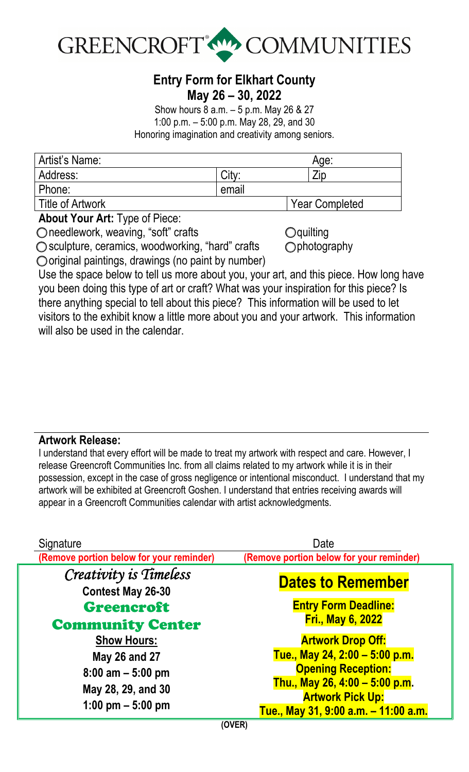

## **Entry Form for Elkhart County May 26 – 30, 2022**

Show hours 8 a.m. – 5 p.m. May 26 & 27 1:00 p.m. – 5:00 p.m. May 28, 29, and 30 Honoring imagination and creativity among seniors.

| Artist's Name:          |       | Age:                  |  |
|-------------------------|-------|-----------------------|--|
| Address:                | Citv: | Zip                   |  |
| Phone:                  | email |                       |  |
| <b>Title of Artwork</b> |       | <b>Year Completed</b> |  |

**About Your Art:** Type of Piece:

□ needlework, weaving, "soft" crafts

○ sculpture, ceramics, woodworking, "hard" crafts

 $\bigcirc$  quilting ○ photography

 $\bigcirc$  original paintings, drawings (no paint by number)

Use the space below to tell us more about you, your art, and this piece. How long have you been doing this type of art or craft? What was your inspiration for this piece? Is there anything special to tell about this piece? This information will be used to let visitors to the exhibit know a little more about you and your artwork. This information will also be used in the calendar.

## **Artwork Release:**

I understand that every effort will be made to treat my artwork with respect and care. However, I release Greencroft Communities Inc. from all claims related to my artwork while it is in their possession, except in the case of gross negligence or intentional misconduct. I understand that my artwork will be exhibited at Greencroft Goshen. I understand that entries receiving awards will appear in a Greencroft Communities calendar with artist acknowledgments.

| Signature<br>(Remove portion below for your reminder) | Date<br>(Remove portion below for your reminder)            |  |
|-------------------------------------------------------|-------------------------------------------------------------|--|
| Creativity is Timeless                                | <b>Dates to Remember</b><br><b>Entry Form Deadline:</b>     |  |
| <b>Contest May 26-30</b><br><b>Greencroft</b>         |                                                             |  |
| <b>Community Center</b><br><b>Show Hours:</b>         | <b>Fri., May 6, 2022</b><br><b>Artwork Drop Off:</b>        |  |
| May 26 and 27<br>$8:00$ am $-5:00$ pm                 | Tue., May 24, 2:00 - 5:00 p.m.<br><b>Opening Reception:</b> |  |
| May 28, 29, and 30                                    | Thu., May 26, 4:00 - 5:00 p.m.<br><b>Artwork Pick Up:</b>   |  |
| 1:00 pm $-$ 5:00 pm                                   | Tue., May 31, 9:00 a.m. - 11:00 a.m.<br>$\sqrt{N}$          |  |